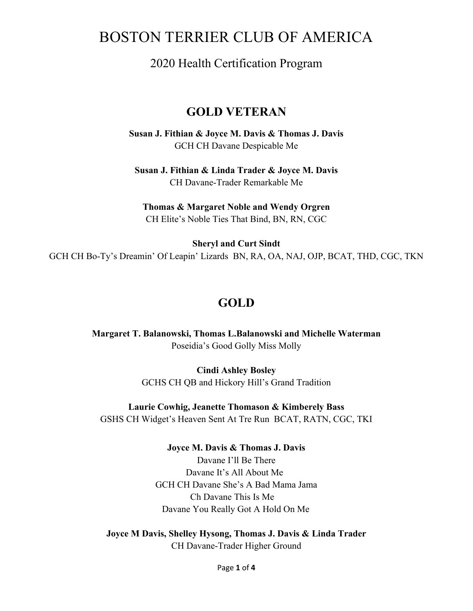# BOSTON TERRIER CLUB OF AMERICA

## 2020 Health Certification Program

## **GOLD VETERAN**

**Susan J. Fithian & Joyce M. Davis & Thomas J. Davis** GCH CH Davane Despicable Me

**Susan J. Fithian & Linda Trader & Joyce M. Davis** CH Davane-Trader Remarkable Me

**Thomas & Margaret Noble and Wendy Orgren** CH Elite's Noble Ties That Bind, BN, RN, CGC

**Sheryl and Curt Sindt** GCH CH Bo-Ty's Dreamin' Of Leapin' Lizards BN, RA, OA, NAJ, OJP, BCAT, THD, CGC, TKN

## **GOLD**

**Margaret T. Balanowski, Thomas L.Balanowski and Michelle Waterman** Poseidia's Good Golly Miss Molly

> **Cindi Ashley Bosley** GCHS CH QB and Hickory Hill's Grand Tradition

**Laurie Cowhig, Jeanette Thomason & Kimberely Bass** GSHS CH Widget's Heaven Sent At Tre Run BCAT, RATN, CGC, TKI

> **Joyce M. Davis & Thomas J. Davis** Davane I'll Be There Davane It's All About Me GCH CH Davane She's A Bad Mama Jama Ch Davane This Is Me Davane You Really Got A Hold On Me

**Joyce M Davis, Shelley Hysong, Thomas J. Davis & Linda Trader** CH Davane-Trader Higher Ground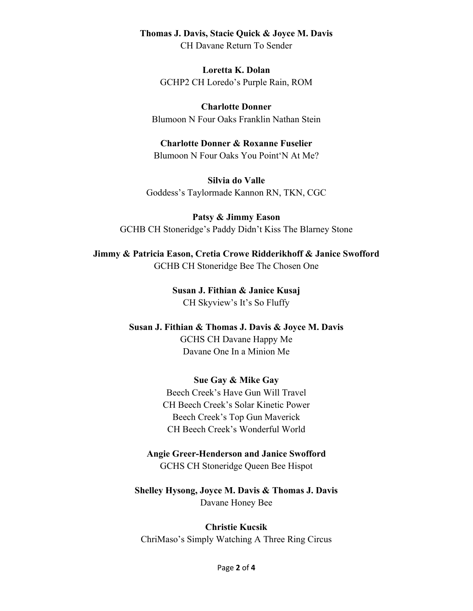#### **Thomas J. Davis, Stacie Quick & Joyce M. Davis**

CH Davane Return To Sender

**Loretta K. Dolan** GCHP2 CH Loredo's Purple Rain, ROM

**Charlotte Donner** Blumoon N Four Oaks Franklin Nathan Stein

#### **Charlotte Donner & Roxanne Fuselier**

Blumoon N Four Oaks You Point'N At Me?

**Silvia do Valle** Goddess's Taylormade Kannon RN, TKN, CGC

**Patsy & Jimmy Eason** GCHB CH Stoneridge's Paddy Didn't Kiss The Blarney Stone

**Jimmy & Patricia Eason, Cretia Crowe Ridderikhoff & Janice Swofford** GCHB CH Stoneridge Bee The Chosen One

> **Susan J. Fithian & Janice Kusaj** CH Skyview's It's So Fluffy

**Susan J. Fithian & Thomas J. Davis & Joyce M. Davis** GCHS CH Davane Happy Me Davane One In a Minion Me

#### **Sue Gay & Mike Gay**

Beech Creek's Have Gun Will Travel CH Beech Creek's Solar Kinetic Power Beech Creek's Top Gun Maverick CH Beech Creek's Wonderful World

#### **Angie Greer-Henderson and Janice Swofford**

GCHS CH Stoneridge Queen Bee Hispot

**Shelley Hysong, Joyce M. Davis & Thomas J. Davis** Davane Honey Bee

**Christie Kucsik** ChriMaso's Simply Watching A Three Ring Circus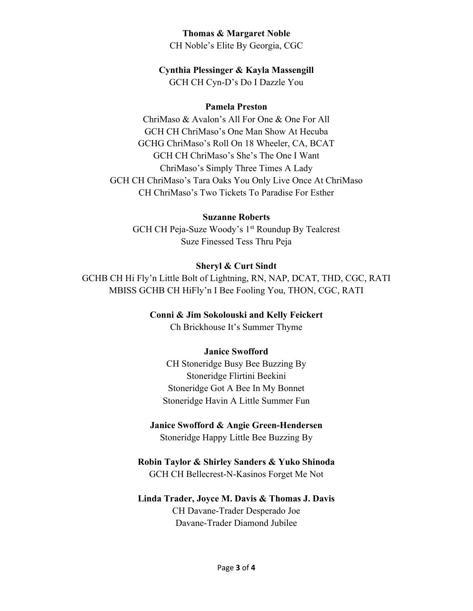#### **Thomas & Margaret Noble**

CH Noble's Elite By Georgia, CGC

### **Cynthia Plessinger & Kayla Massengill**

GCH CH Cyn-D's Do I Dazzle You

### **Pamela Preston**

ChriMaso & Avalon's All For One & One For All GCH CH ChriMaso's One Man Show At Hecuba GCHG ChriMaso's Roll On 18 Wheeler, CA, BCAT GCH CH ChriMaso's She's The One I Want ChriMaso's Simply Three Times A Lady GCH CH ChriMaso's Tara Oaks You Only Live Once At ChriMaso CH ChriMaso's Two Tickets To Paradise For Esther

## **Suzanne Roberts**

GCH CH Peja-Suze Woody's 1<sup>st</sup> Roundup By Tealcrest Suze Finessed Tess Thru Peja

## **Sheryl & Curt Sindt**

GCHB CH Hi Fly'n Little Bolt of Lightning, RN, NAP, DCAT, THD, CGC, RATI MBISS GCHB CH HiFly'n I Bee Fooling You, THON, CGC, RATI

## **Conni & Jim Sokolouski and Kelly Feickert**

Ch Brickhouse It's Summer Thyme

## **Janice Swofford**

CH Stoneridge Busy Bee Buzzing By Stoneridge Flirtini Beekini Stoneridge Got A Bee In My Bonnet Stoneridge Havin A Little Summer Fun

# **Janice Swofford & Angie Green-Hendersen**

Stoneridge Happy Little Bee Buzzing By

### **Robin Taylor & Shirley Sanders & Yuko Shinoda** GCH CH Bellecrest-N-Kasinos Forget Me Not

### **Linda Trader, Joyce M. Davis & Thomas J. Davis** CH Davane-Trader Desperado Joe Davane-Trader Diamond Jubilee